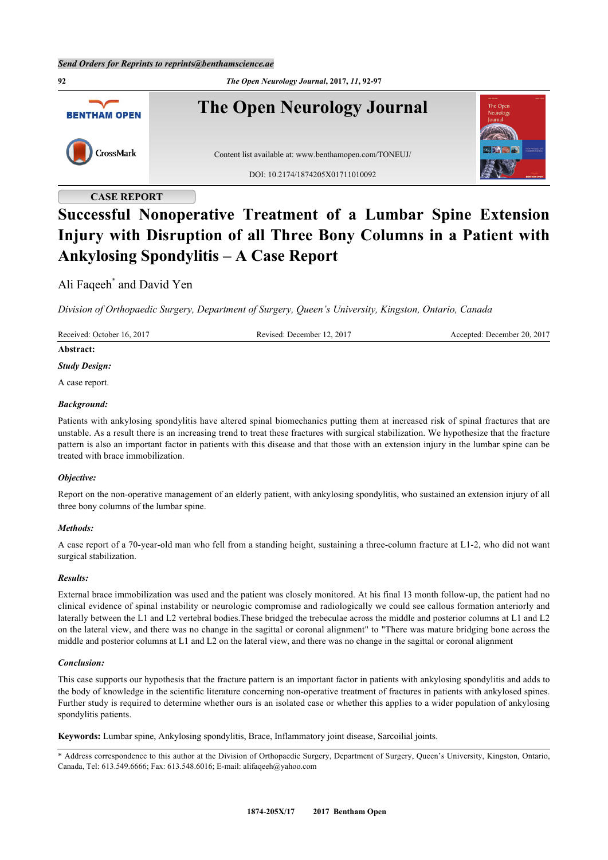**92** *The Open Neurology Journal***, 2017,** *11***, 92-97 The Open Neurology Journal BENTHAM OPEN** CrossMark Content list available at: [www.benthamopen.com/TONEUJ/](http://www.benthamopen.com/TONEUJ/) DOI: [10.2174/1874205X01711010092](http://dx.doi.org/10.2174/1874205X01711010092)

# **CASE REPORT**

# **Successful Nonoperative Treatment of a Lumbar Spine Extension Injury with Disruption of all Three Bony Columns in a Patient with Ankylosing Spondylitis – A Case Report**

# Ali Faqeeh[\\*](#page-0-0) and David Yen

*Division of Orthopaedic Surgery, Department of Surgery, Queen's University, Kingston, Ontario, Canada*

| Received: October 16, 2017 | Revised: December 12, 2017 | Accepted: December 20, 2017 |
|----------------------------|----------------------------|-----------------------------|
| Abstract:                  |                            |                             |
| <b>Study Design:</b>       |                            |                             |
| A case report.             |                            |                             |
| <b>Background:</b>         |                            |                             |

Patients with ankylosing spondylitis have altered spinal biomechanics putting them at increased risk of spinal fractures that are unstable. As a result there is an increasing trend to treat these fractures with surgical stabilization. We hypothesize that the fracture pattern is also an important factor in patients with this disease and that those with an extension injury in the lumbar spine can be treated with brace immobilization.

# *Objective:*

Report on the non-operative management of an elderly patient, with ankylosing spondylitis, who sustained an extension injury of all three bony columns of the lumbar spine.

#### *Methods:*

A case report of a 70-year-old man who fell from a standing height, sustaining a three-column fracture at L1-2, who did not want surgical stabilization.

#### *Results:*

External brace immobilization was used and the patient was closely monitored. At his final 13 month follow-up, the patient had no clinical evidence of spinal instability or neurologic compromise and radiologically we could see callous formation anteriorly and laterally between the L1 and L2 vertebral bodies.These bridged the trebeculae across the middle and posterior columns at L1 and L2 on the lateral view, and there was no change in the sagittal or coronal alignment" to "There was mature bridging bone across the middle and posterior columns at L1 and L2 on the lateral view, and there was no change in the sagittal or coronal alignment

#### *Conclusion:*

This case supports our hypothesis that the fracture pattern is an important factor in patients with ankylosing spondylitis and adds to the body of knowledge in the scientific literature concerning non-operative treatment of fractures in patients with ankylosed spines. Further study is required to determine whether ours is an isolated case or whether this applies to a wider population of ankylosing spondylitis patients.

**Keywords:** Lumbar spine, Ankylosing spondylitis, Brace, Inflammatory joint disease, Sarcoilial joints.

<span id="page-0-0"></span><sup>\*</sup> Address correspondence to this author at the Division of Orthopaedic Surgery, Department of Surgery, Queen's University, Kingston, Ontario, Canada, Tel: 613.549.6666; Fax: 613.548.6016; E-mail: [alifaqeeh@yahoo.com](mailto:alifaqeeh@yahoo.com)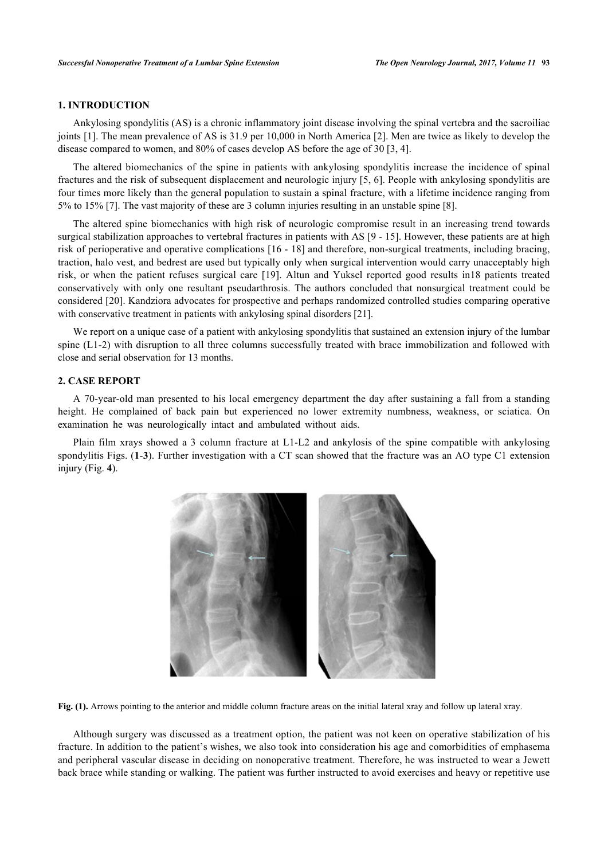# **1. INTRODUCTION**

Ankylosing spondylitis (AS) is a chronic inflammatory joint disease involving the spinal vertebra and the sacroiliac joints [\[1](#page-4-0)]. The mean prevalence of AS is 31.9 per 10,000 in North America [\[2](#page-4-1)]. Men are twice as likely to develop the disease compared to women, and 80% of cases develop AS before the age of 30 [\[3](#page-4-2), [4](#page-4-3)].

The altered biomechanics of the spine in patients with ankylosing spondylitis increase the incidence of spinal fractures and the risk of subsequent displacement and neurologic injury [[5,](#page-4-4) [6](#page-4-5)]. People with ankylosing spondylitis are four times more likely than the general population to sustain a spinal fracture, with a lifetime incidence ranging from 5% to 15% [[7\]](#page-4-6). The vast majority of these are 3 column injuries resulting in an unstable spine [[8\]](#page-4-7).

The altered spine biomechanics with high risk of neurologic compromise result in an increasing trend towards surgical stabilization approaches to vertebral fractures in patients with AS [\[9](#page-4-8) - [15](#page-5-0)]. However, these patients are at high risk of perioperative and operative complications [[16](#page-5-1) - [18](#page-5-2)] and therefore, non-surgical treatments, including bracing, traction, halo vest, and bedrest are used but typically only when surgical intervention would carry unacceptably high risk, or when the patient refuses surgical care[[19](#page-5-3)]. Altun and Yuksel reported good results in18 patients treated conservatively with only one resultant pseudarthrosis. The authors concluded that nonsurgical treatment could be considered [[20\]](#page-5-4). Kandziora advocates for prospective and perhaps randomized controlled studies comparing operative with conservative treatment in patients with ankylosing spinal disorders [[21\]](#page-5-5).

We report on a unique case of a patient with ankylosing spondylitis that sustained an extension injury of the lumbar spine (L1-2) with disruption to all three columns successfully treated with brace immobilization and followed with close and serial observation for 13 months.

#### **2. CASE REPORT**

A 70-year-old man presented to his local emergency department the day after sustaining a fall from a standing height. He complained of back pain but experienced no lower extremity numbness, weakness, or sciatica. On examination he was neurologically intact and ambulated without aids.

<span id="page-1-0"></span>Plain film xrays showed a 3 column fracture at L1-L2 and ankylosis of the spine compatible with ankylosing spondylitis Figs. (**[1](#page-1-0)**-**[3](#page-2-0)**). Further investigation with a CT scan showed that the fracture was an AO type C1 extension injury (Fig. **[4](#page-2-1)**).



**Fig. (1).** Arrows pointing to the anterior and middle column fracture areas on the initial lateral xray and follow up lateral xray.

Although surgery was discussed as a treatment option, the patient was not keen on operative stabilization of his fracture. In addition to the patient's wishes, we also took into consideration his age and comorbidities of emphasema and peripheral vascular disease in deciding on nonoperative treatment. Therefore, he was instructed to wear a Jewett back brace while standing or walking. The patient was further instructed to avoid exercises and heavy or repetitive use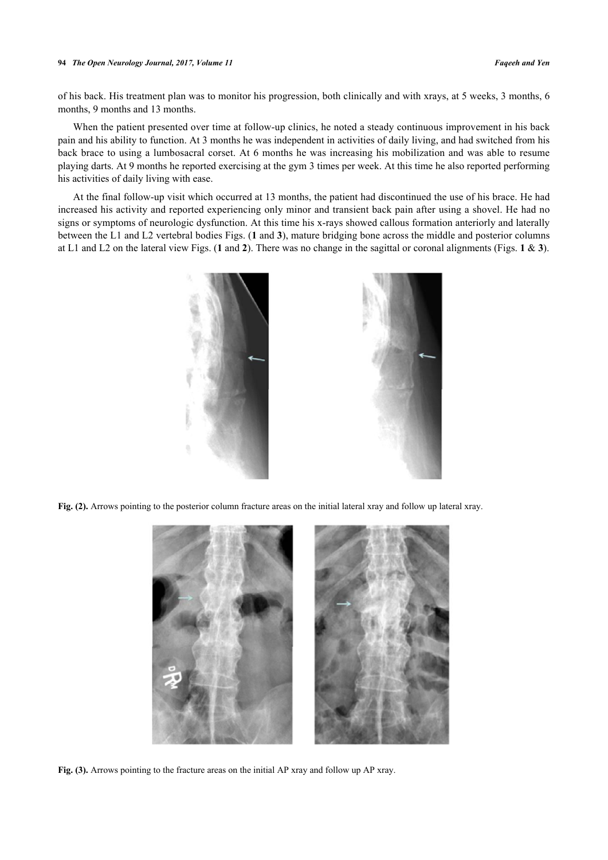#### **94** *The Open Neurology Journal, 2017, Volume 11 Faqeeh and Yen*

of his back. His treatment plan was to monitor his progression, both clinically and with xrays, at 5 weeks, 3 months, 6 months, 9 months and 13 months.

When the patient presented over time at follow-up clinics, he noted a steady continuous improvement in his back pain and his ability to function. At 3 months he was independent in activities of daily living, and had switched from his back brace to using a lumbosacral corset. At 6 months he was increasing his mobilization and was able to resume playing darts. At 9 months he reported exercising at the gym 3 times per week. At this time he also reported performing his activities of daily living with ease.

<span id="page-2-2"></span>At the final follow-up visit which occurred at 13 months, the patient had discontinued the use of his brace. He had increased his activity and reported experiencing only minor and transient back pain after using a shovel. He had no signs or symptoms of neurologic dysfunction. At this time his x-rays showed callous formation anteriorly and laterally between the L1 and L2 vertebral bodies Figs. (**[1](#page-1-0)** and **[3](#page-2-0)**), mature bridging bone across the middle and posterior columns at L1 and L2 on the lateral view Figs. (**[1](#page-1-0)** and **[2](#page-2-2)**). There was no change in the sagittal or coronal alignments (Figs. **[1](#page-1-0)** & **[3](#page-2-0)**).



**Fig. (2).** Arrows pointing to the posterior column fracture areas on the initial lateral xray and follow up lateral xray.

<span id="page-2-1"></span><span id="page-2-0"></span>

**Fig. (3).** Arrows pointing to the fracture areas on the initial AP xray and follow up AP xray.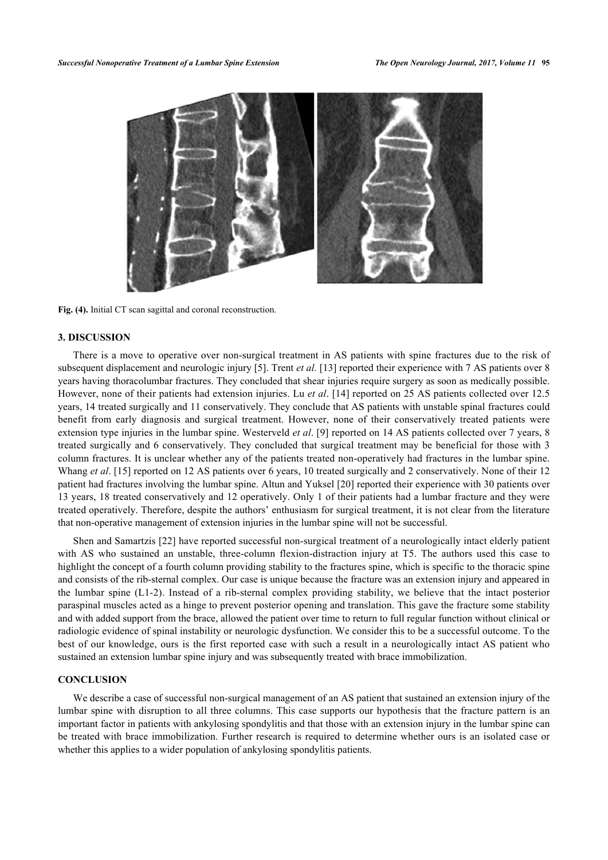

**Fig. (4).** Initial CT scan sagittal and coronal reconstruction.

#### **3. DISCUSSION**

There is a move to operative over non-surgical treatment in AS patients with spine fractures due to the risk of subsequent displacement and neurologic injury [\[5](#page-4-4)]. Trent *et al.* [\[13](#page-4-9)] reported their experience with 7 AS patients over 8 years having thoracolumbar fractures. They concluded that shear injuries require surgery as soon as medically possible. However, none of their patients had extension injuries. Lu *et al*. [[14\]](#page-5-6) reported on 25 AS patients collected over 12.5 years, 14 treated surgically and 11 conservatively. They conclude that AS patients with unstable spinal fractures could benefit from early diagnosis and surgical treatment. However, none of their conservatively treated patients were extension type injuries in the lumbar spine. Westerveld *et al*. [[9\]](#page-4-8) reported on 14 AS patients collected over 7 years, 8 treated surgically and 6 conservatively. They concluded that surgical treatment may be beneficial for those with 3 column fractures. It is unclear whether any of the patients treated non-operatively had fractures in the lumbar spine. Whang *et al.* [[15\]](#page-5-0) reported on 12 AS patients over 6 years, 10 treated surgically and 2 conservatively. None of their 12 patient had fractures involving the lumbar spine. Altun and Yuksel [\[20\]](#page-5-4) reported their experience with 30 patients over 13 years, 18 treated conservatively and 12 operatively. Only 1 of their patients had a lumbar fracture and they were treated operatively. Therefore, despite the authors' enthusiasm for surgical treatment, it is not clear from the literature that non-operative management of extension injuries in the lumbar spine will not be successful.

Shen and Samartzis [[22\]](#page-5-7) have reported successful non-surgical treatment of a neurologically intact elderly patient with AS who sustained an unstable, three-column flexion-distraction injury at T5. The authors used this case to highlight the concept of a fourth column providing stability to the fractures spine, which is specific to the thoracic spine and consists of the rib-sternal complex. Our case is unique because the fracture was an extension injury and appeared in the lumbar spine (L1-2). Instead of a rib-sternal complex providing stability, we believe that the intact posterior paraspinal muscles acted as a hinge to prevent posterior opening and translation. This gave the fracture some stability and with added support from the brace, allowed the patient over time to return to full regular function without clinical or radiologic evidence of spinal instability or neurologic dysfunction. We consider this to be a successful outcome. To the best of our knowledge, ours is the first reported case with such a result in a neurologically intact AS patient who sustained an extension lumbar spine injury and was subsequently treated with brace immobilization.

### **CONCLUSION**

We describe a case of successful non-surgical management of an AS patient that sustained an extension injury of the lumbar spine with disruption to all three columns. This case supports our hypothesis that the fracture pattern is an important factor in patients with ankylosing spondylitis and that those with an extension injury in the lumbar spine can be treated with brace immobilization. Further research is required to determine whether ours is an isolated case or whether this applies to a wider population of ankylosing spondylitis patients.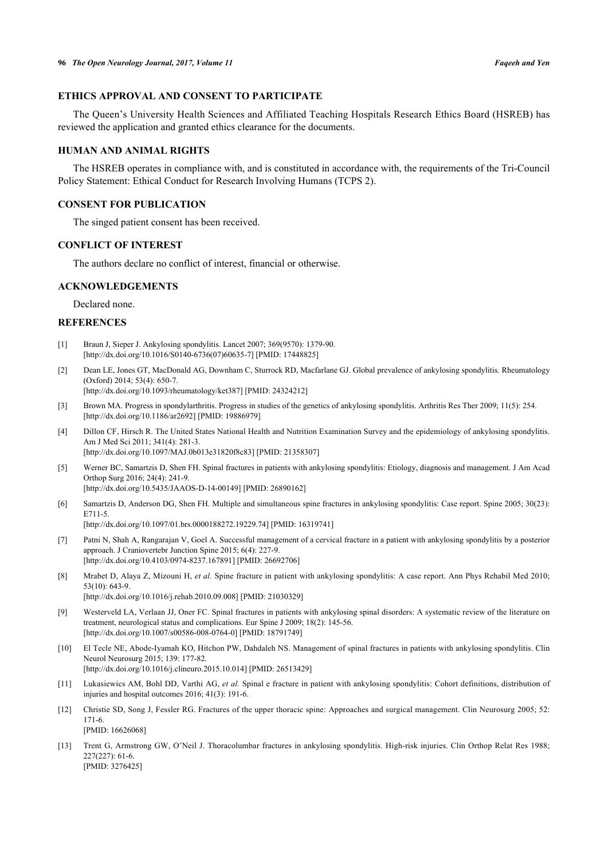# **ETHICS APPROVAL AND CONSENT TO PARTICIPATE**

The Queen's University Health Sciences and Affiliated Teaching Hospitals Research Ethics Board (HSREB) has reviewed the application and granted ethics clearance for the documents.

# **HUMAN AND ANIMAL RIGHTS**

The HSREB operates in compliance with, and is constituted in accordance with, the requirements of the Tri-Council Policy Statement: Ethical Conduct for Research Involving Humans (TCPS 2).

#### **CONSENT FOR PUBLICATION**

The singed patient consent has been received.

# **CONFLICT OF INTEREST**

The authors declare no conflict of interest, financial or otherwise.

#### **ACKNOWLEDGEMENTS**

Declared none.

# **REFERENCES**

- <span id="page-4-0"></span>[1] Braun J, Sieper J. Ankylosing spondylitis. Lancet 2007; 369(9570): 1379-90. [\[http://dx.doi.org/10.1016/S0140-6736\(07\)60635-7\]](http://dx.doi.org/10.1016/S0140-6736(07)60635-7) [PMID: [17448825](http://www.ncbi.nlm.nih.gov/pubmed/17448825)]
- <span id="page-4-1"></span>[2] Dean LE, Jones GT, MacDonald AG, Downham C, Sturrock RD, Macfarlane GJ. Global prevalence of ankylosing spondylitis. Rheumatology (Oxford) 2014; 53(4): 650-7. [\[http://dx.doi.org/10.1093/rheumatology/ket387](http://dx.doi.org/10.1093/rheumatology/ket387)] [PMID: [24324212\]](http://www.ncbi.nlm.nih.gov/pubmed/24324212)
- <span id="page-4-2"></span>[3] Brown MA. Progress in spondylarthritis. Progress in studies of the genetics of ankylosing spondylitis. Arthritis Res Ther 2009; 11(5): 254. [\[http://dx.doi.org/10.1186/ar2692](http://dx.doi.org/10.1186/ar2692)] [PMID: [19886979\]](http://www.ncbi.nlm.nih.gov/pubmed/19886979)
- <span id="page-4-3"></span>[4] Dillon CF, Hirsch R. The United States National Health and Nutrition Examination Survey and the epidemiology of ankylosing spondylitis. Am J Med Sci 2011; 341(4): 281-3. [\[http://dx.doi.org/10.1097/MAJ.0b013e31820f8c83\]](http://dx.doi.org/10.1097/MAJ.0b013e31820f8c83) [PMID: [21358307](http://www.ncbi.nlm.nih.gov/pubmed/21358307)]
- <span id="page-4-4"></span>[5] Werner BC, Samartzis D, Shen FH. Spinal fractures in patients with ankylosing spondylitis: Etiology, diagnosis and management. J Am Acad Orthop Surg 2016; 24(4): 241-9. [\[http://dx.doi.org/10.5435/JAAOS-D-14-00149](http://dx.doi.org/10.5435/JAAOS-D-14-00149)] [PMID: [26890162](http://www.ncbi.nlm.nih.gov/pubmed/26890162)]
- <span id="page-4-5"></span>[6] Samartzis D, Anderson DG, Shen FH. Multiple and simultaneous spine fractures in ankylosing spondylitis: Case report. Spine 2005; 30(23): E711-5.
	- [\[http://dx.doi.org/10.1097/01.brs.0000188272.19229.74\]](http://dx.doi.org/10.1097/01.brs.0000188272.19229.74) [PMID: [16319741](http://www.ncbi.nlm.nih.gov/pubmed/16319741)]
- <span id="page-4-6"></span>[7] Patni N, Shah A, Rangarajan V, Goel A. Successful management of a cervical fracture in a patient with ankylosing spondylitis by a posterior approach. J Craniovertebr Junction Spine 2015; 6(4): 227-9. [\[http://dx.doi.org/10.4103/0974-8237.167891](http://dx.doi.org/10.4103/0974-8237.167891)] [PMID: [26692706](http://www.ncbi.nlm.nih.gov/pubmed/26692706)]
- <span id="page-4-7"></span>[8] Mrabet D, Alaya Z, Mizouni H, *et al.* Spine fracture in patient with ankylosing spondylitis: A case report. Ann Phys Rehabil Med 2010; 53(10): 643-9. [\[http://dx.doi.org/10.1016/j.rehab.2010.09.008\]](http://dx.doi.org/10.1016/j.rehab.2010.09.008) [PMID: [21030329](http://www.ncbi.nlm.nih.gov/pubmed/21030329)]
- <span id="page-4-8"></span>[9] Westerveld LA, Verlaan JJ, Oner FC. Spinal fractures in patients with ankylosing spinal disorders: A systematic review of the literature on treatment, neurological status and complications. Eur Spine J 2009; 18(2): 145-56. [\[http://dx.doi.org/10.1007/s00586-008-0764-0\]](http://dx.doi.org/10.1007/s00586-008-0764-0) [PMID: [18791749](http://www.ncbi.nlm.nih.gov/pubmed/18791749)]
- [10] El Tecle NE, Abode-Iyamah KO, Hitchon PW, Dahdaleh NS. Management of spinal fractures in patients with ankylosing spondylitis. Clin Neurol Neurosurg 2015; 139: 177-82. [\[http://dx.doi.org/10.1016/j.clineuro.2015.10.014](http://dx.doi.org/10.1016/j.clineuro.2015.10.014)] [PMID: [26513429\]](http://www.ncbi.nlm.nih.gov/pubmed/26513429)
- [11] Lukasiewics AM, Bohl DD, Varthi AG, *et al.* Spinal e fracture in patient with ankylosing spondylitis: Cohort definitions, distribution of injuries and hospital outcomes 2016; 41(3): 191-6.
- [12] Christie SD, Song J, Fessler RG. Fractures of the upper thoracic spine: Approaches and surgical management. Clin Neurosurg 2005; 52: 171-6. [PMID: [16626068\]](http://www.ncbi.nlm.nih.gov/pubmed/16626068)
- <span id="page-4-9"></span>[13] Trent G, Armstrong GW, O'Neil J. Thoracolumbar fractures in ankylosing spondylitis. High-risk injuries. Clin Orthop Relat Res 1988; 227(227): 61-6. [PMID: [3276425\]](http://www.ncbi.nlm.nih.gov/pubmed/3276425)